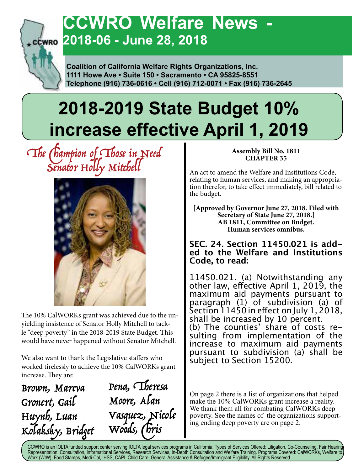

## **CCWRO Welfare News 2018-06 - June 28, 2018**

 **Coalition of California Welfare Rights Organizations, Inc. 1111 Howe Ave • Suite 150 • Sacramento • CA 95825-8551 Telephone (916) 736-0616 • Cell (916) 712-0071 • Fax (916) 736-2645**

# **2018-2019 State Budget 10% increase effective April 1, 2019**

### $\Omega$  The Champion of Choice in Need Senator Holly Mitchell



The 10% CalWORKs grant was achieved due to the unyielding insistence of Senator Holly Mitchell to tackle "deep poverty" in the 2018-2019 State Budget. This would have never happened without Senator Mitchell.

We also want to thank the Legislative staffers who worked tirelessly to achieve the 10% CalWORKs grant increase. They are:

Brown, Mareva Gronert, Gail Huynh, Luan Kolaksky, Bridget

Pena, Theresa Moore, Alan Vasquez, Nicole Woods, Chris

#### **Assembly Bill No. 1811 CHAPTER 35**

An act to amend the Welfare and Institutions Code, relating to human services, and making an appropriation therefor, to take effect immediately, bill related to the budget.

**[Approved by Governor June 27, 2018. Filed with Secretary of State June 27, 2018.] AB 1811, Committee on Budget. Human services omnibus.**

### **SEC. 24. Section 11450.021 is add- ed to the Welfare and Institutions Code, to read:**

11450.021. (a) Notwithstanding any other law, effective April 1, 2019, the maximum aid payments pursuant to paragraph (1) of subdivision (a) of Section 11450 in effect on July 1, 2018, shall be increased by 10 percent.<br>(b) The counties' share of costs resulting from implementation of the increase to maximum aid payments pursuant to subdivision (a) shall be subject to Section 15200.

On page 2 there is a list of organizations that helped make the 10% CalWORKs grant increase a reality. We thank them all for combating CalWORKs deep poverty. See the names of the organizations supporting ending deep poverty are on page 2.

CCWRO is an IOLTA funded support center serving IOLTA legal services programs in California. Types of Services Offered: Litigation, Co-Counseling, Fair Hearing, Representation, Consultation, Informational Services, Research Services, In-Depth Consultation and Welfare Training. Programs Covered: CalWORKs, Welfare to Work (WtW), Food Stamps, Medi-Cal, IHSS, CAPI, Child Care, General Assistance & Refugee/Immigrant Eligibility. All Rights Reserved.